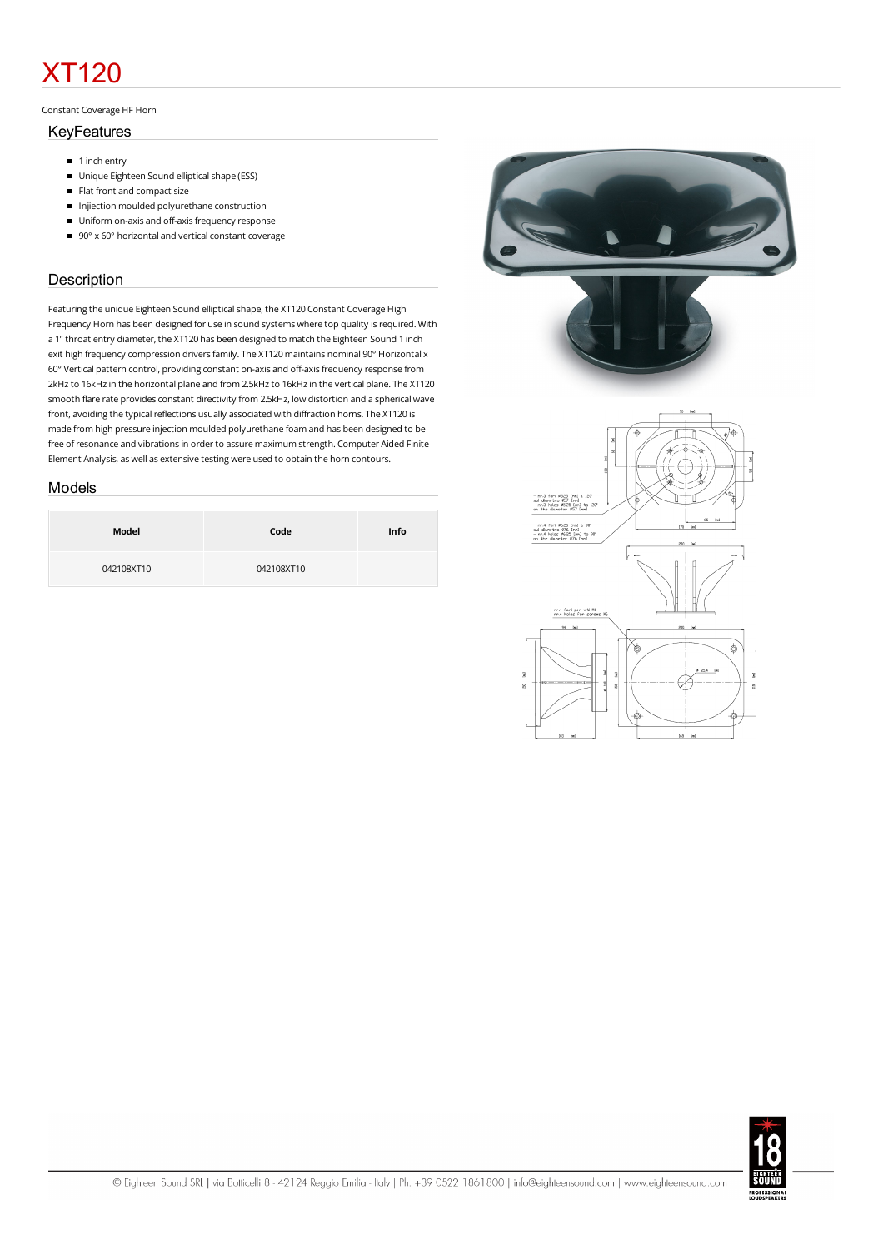# XT120

#### Constant Coverage HF Horn

### **KeyFeatures**

- $1$  inch entry
- Unique Eighteen Sound elliptical shape (ESS)
- **Flat front and compact size**
- $\blacksquare$  Injiection moulded polyurethane construction
- Uniform on-axis and off-axis frequency response
- $\blacksquare$  90° x 60° horizontal and vertical constant coverage

## **Description**

Featuring the unique Eighteen Sound elliptical shape, the XT120 Constant Coverage High Frequency Horn has been designed for use in sound systems where top quality is required. With a 1" throat entry diameter, the XT120 has been designed to match the Eighteen Sound 1 inch exit high frequency compression drivers family. The XT120 maintains nominal 90° Horizontal x 60° Vertical pattern control, providing constant on-axis and off-axis frequency response from 2kHz to 16kHz in the horizontal plane and from 2.5kHz to 16kHz in the vertical plane. The XT120 smooth flare rate provides constant directivity from 2.5kHz, low distortion and a spherical wave front, avoiding the typical reflections usually associated with diffraction horns. The XT120 is made from high pressure injection moulded polyurethane foam and has been designed to be free of resonance and vibrations in order to assure maximum strength. Computer Aided Finite Element Analysis, as well as extensive testing were used to obtain the horn contours.

## Models

| Model      | Code       | Info |
|------------|------------|------|
| 042108XT10 | 042108XT10 |      |